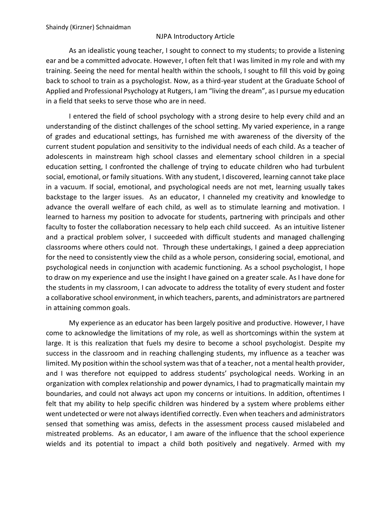## NJPA Introductory Article

As an idealistic young teacher, I sought to connect to my students; to provide a listening ear and be a committed advocate. However, I often felt that I was limited in my role and with my training. Seeing the need for mental health within the schools, I sought to fill this void by going back to school to train as a psychologist. Now, as a third-year student at the Graduate School of Applied and Professional Psychology at Rutgers, I am "living the dream", as I pursue my education in a field that seeks to serve those who are in need.

I entered the field of school psychology with a strong desire to help every child and an understanding of the distinct challenges of the school setting. My varied experience, in a range of grades and educational settings, has furnished me with awareness of the diversity of the current student population and sensitivity to the individual needs of each child. As a teacher of adolescents in mainstream high school classes and elementary school children in a special education setting, I confronted the challenge of trying to educate children who had turbulent social, emotional, or family situations. With any student, I discovered, learning cannot take place in a vacuum. If social, emotional, and psychological needs are not met, learning usually takes backstage to the larger issues. As an educator, I channeled my creativity and knowledge to advance the overall welfare of each child, as well as to stimulate learning and motivation. I learned to harness my position to advocate for students, partnering with principals and other faculty to foster the collaboration necessary to help each child succeed. As an intuitive listener and a practical problem solver, I succeeded with difficult students and managed challenging classrooms where others could not. Through these undertakings, I gained a deep appreciation for the need to consistently view the child as a whole person, considering social, emotional, and psychological needs in conjunction with academic functioning. As a school psychologist, I hope to draw on my experience and use the insight I have gained on a greater scale. As I have done for the students in my classroom, I can advocate to address the totality of every student and foster a collaborative school environment, in which teachers, parents, and administrators are partnered in attaining common goals.

My experience as an educator has been largely positive and productive. However, I have come to acknowledge the limitations of my role, as well as shortcomings within the system at large. It is this realization that fuels my desire to become a school psychologist. Despite my success in the classroom and in reaching challenging students, my influence as a teacher was limited. My position within the school system was that of a teacher, not a mental health provider, and I was therefore not equipped to address students' psychological needs. Working in an organization with complex relationship and power dynamics, I had to pragmatically maintain my boundaries, and could not always act upon my concerns or intuitions. In addition, oftentimes I felt that my ability to help specific children was hindered by a system where problems either went undetected or were not always identified correctly. Even when teachers and administrators sensed that something was amiss, defects in the assessment process caused mislabeled and mistreated problems. As an educator, I am aware of the influence that the school experience wields and its potential to impact a child both positively and negatively. Armed with my